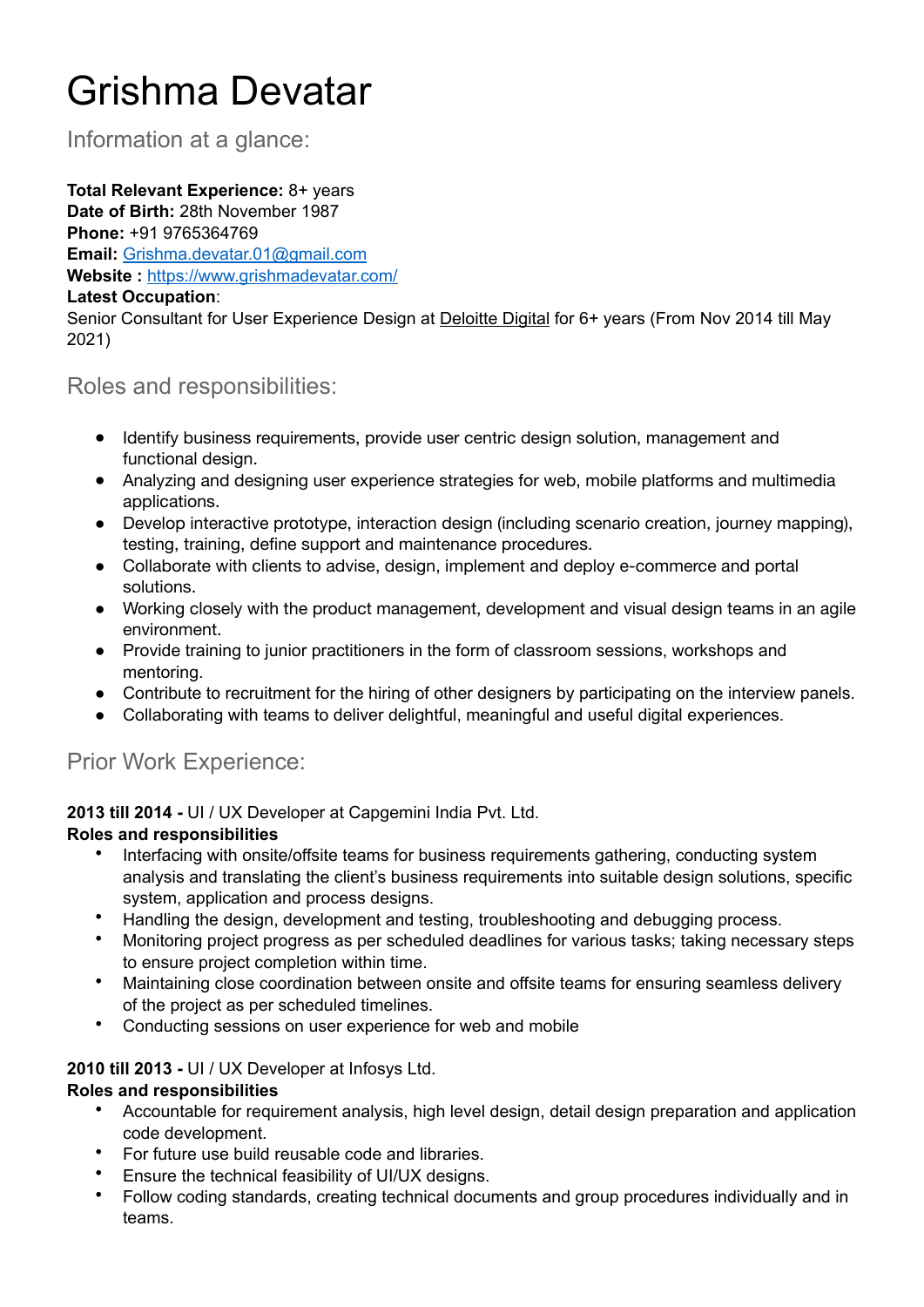# Grishma Devatar

Information at a glance:

**Total Relevant Experience:** 8+ years **Date of Birth:** 28th November 1987 **Phone:** +91 9765364769 **Email:** [Grishma.devatar.01@gmail.com](mailto:Grishma.devatar.01@gmail.com) **Website :** <https://www.grishmadevatar.com/> **Latest Occupation**:

Senior Consultant for User Experience Design at Deloitte Digital for 6+ years (From Nov 2014 till May 2021)

Roles and responsibilities:

- Identify business requirements, provide user centric design solution, management and functional design.
- Analyzing and designing user experience strategies for web, mobile platforms and multimedia applications.
- Develop interactive prototype, interaction design (including scenario creation, journey mapping), testing, training, define support and maintenance procedures.
- Collaborate with clients to advise, design, implement and deploy e-commerce and portal solutions.
- Working closely with the product management, development and visual design teams in an agile environment.
- Provide training to junior practitioners in the form of classroom sessions, workshops and mentoring.
- Contribute to recruitment for the hiring of other designers by participating on the interview panels.
- Collaborating with teams to deliver delightful, meaningful and useful digital experiences.

## Prior Work Experience:

**2013 till 2014 -** UI / UX Developer at Capgemini India Pvt. Ltd.

#### **Roles and responsibilities**

- Interfacing with onsite/offsite teams for business requirements gathering, conducting system analysis and translating the client's business requirements into suitable design solutions, specific system, application and process designs.
- Handling the design, development and testing, troubleshooting and debugging process.
- Monitoring project progress as per scheduled deadlines for various tasks; taking necessary steps to ensure project completion within time.
- Maintaining close coordination between onsite and offsite teams for ensuring seamless delivery of the project as per scheduled timelines.
- Conducting sessions on user experience for web and mobile

#### **2010 till 2013 -** UI / UX Developer at Infosys Ltd.

#### **Roles and responsibilities**

- Accountable for requirement analysis, high level design, detail design preparation and application code development.
- For future use build reusable code and libraries.
- Ensure the technical feasibility of UI/UX designs.
- Follow coding standards, creating technical documents and group procedures individually and in teams.